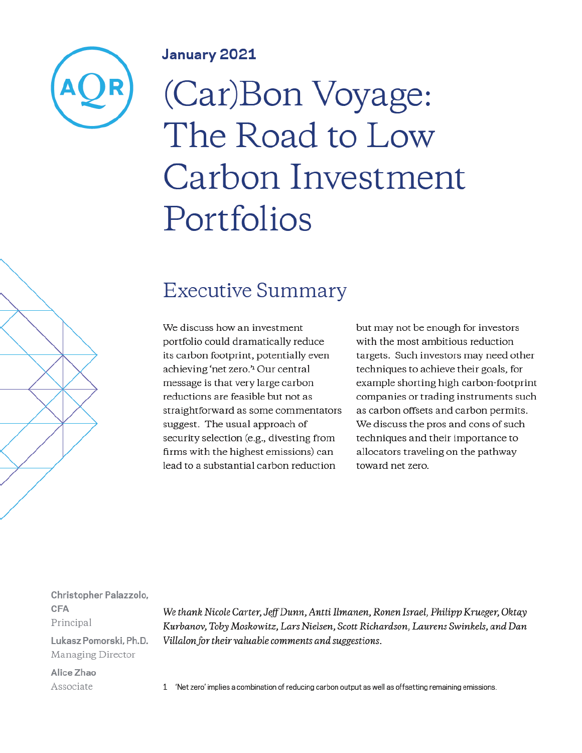January 2021



# (Car)Bon Voyage: The Road to Low Carbon Investment Portfolios

### **Executive Summary**

We discuss how an investment portfolio could dramatically reduce its carbon footprint, potentially even achieving 'net zero.<sup>1</sup> Our central message is that very large carbon reductions are feasible but not as straightforward as some commentators suggest. The usual approach of security selection (e.g., divesting from firms with the highest emissions) can lead to a substantial carbon reduction

but may not be enough for investors with the most ambitious reduction targets. Such investors may need other techniques to achieve their goals, for example shorting high carbon-footprint companies or trading instruments such as carbon offsets and carbon permits. We discuss the pros and cons of such techniques and their importance to allocators traveling on the pathway toward net zero.

Christopher Palazzolo, **CFA** Principal

Lukasz Pomorski, Ph.D. Managing Director

Alice Zhao Associate

We thank Nicole Carter, Jeff Dunn, Antti Ilmanen, Ronen Israel, Philipp Krueger, Oktay Kurbanov, Toby Moskowitz, Lars Nielsen, Scott Richardson, Laurens Swinkels, and Dan Villalon for their valuable comments and suggestions.

1 'Net zero' implies a combination of reducing carbon output as well as offsetting remaining emissions.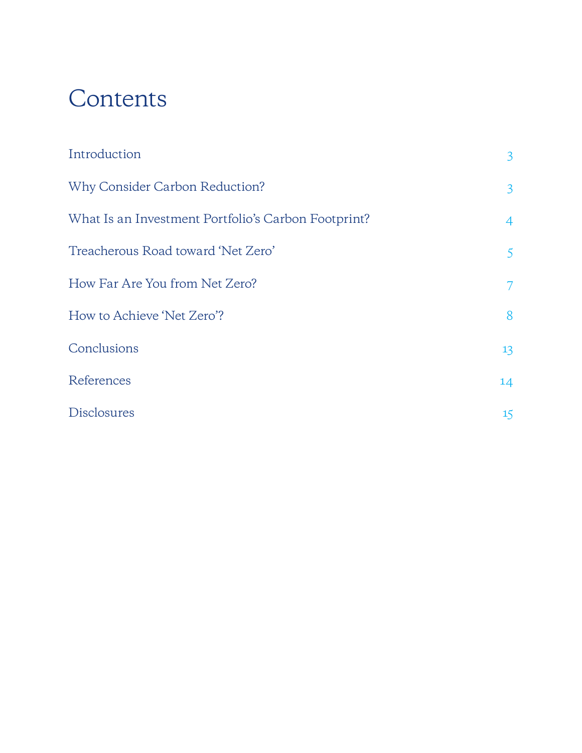# Contents

| Introduction                                        | $\overline{3}$ |
|-----------------------------------------------------|----------------|
| Why Consider Carbon Reduction?                      | $\overline{3}$ |
| What Is an Investment Portfolio's Carbon Footprint? | $\overline{4}$ |
| Treacherous Road toward 'Net Zero'                  | 5              |
| How Far Are You from Net Zero?                      | 7              |
| How to Achieve 'Net Zero'?                          | 8              |
| Conclusions                                         | 13             |
| References                                          | 14             |
| <b>Disclosures</b>                                  | 15             |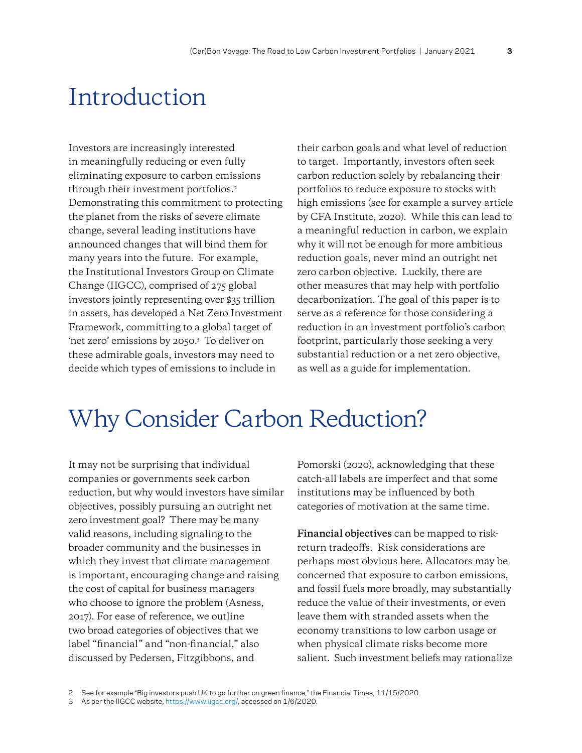# Introduction

Investors are increasingly interested in meaningfully reducing or even fully eliminating exposure to carbon emissions through their investment portfolios.<sup>2</sup> Demonstrating this commitment to protecting the planet from the risks of severe climate change, several leading institutions have announced changes that will bind them for many years into the future. For example, the Institutional Investors Group on Climate Change (IIGCC), comprised of 275 global investors jointly representing over \$35 trillion in assets, has developed a Net Zero Investment Framework, committing to a global target of 'net zero' emissions by 2050.3 To deliver on these admirable goals, investors may need to decide which types of emissions to include in

their carbon goals and what level of reduction to target. Importantly, investors often seek carbon reduction solely by rebalancing their portfolios to reduce exposure to stocks with high emissions (see for example a survey article by CFA Institute, 2020). While this can lead to a meaningful reduction in carbon, we explain why it will not be enough for more ambitious reduction goals, never mind an outright net zero carbon objective. Luckily, there are other measures that may help with portfolio decarbonization. The goal of this paper is to serve as a reference for those considering a reduction in an investment portfolio's carbon footprint, particularly those seeking a very substantial reduction or a net zero objective, as well as a guide for implementation.

# Why Consider Carbon Reduction?

It may not be surprising that individual companies or governments seek carbon reduction, but why would investors have similar objectives, possibly pursuing an outright net zero investment goal? There may be many valid reasons, including signaling to the broader community and the businesses in which they invest that climate management is important, encouraging change and raising the cost of capital for business managers who choose to ignore the problem (Asness, 2017). For ease of reference, we outline two broad categories of objectives that we label "financial" and "non-financial," also discussed by Pedersen, Fitzgibbons, and

Pomorski (2020), acknowledging that these catch-all labels are imperfect and that some institutions may be influenced by both categories of motivation at the same time.

**Financial objectives** can be mapped to riskreturn tradeoffs. Risk considerations are perhaps most obvious here. Allocators may be concerned that exposure to carbon emissions, and fossil fuels more broadly, may substantially reduce the value of their investments, or even leave them with stranded assets when the economy transitions to low carbon usage or when physical climate risks become more salient. Such investment beliefs may rationalize

<sup>2</sup>  See for example "Big investors push UK to go further on green finance," the Financial Times, 11/15/2020.

<sup>3</sup>  As per the IIGCC website, https://www.iigcc.org/, accessed on 1/6/2020.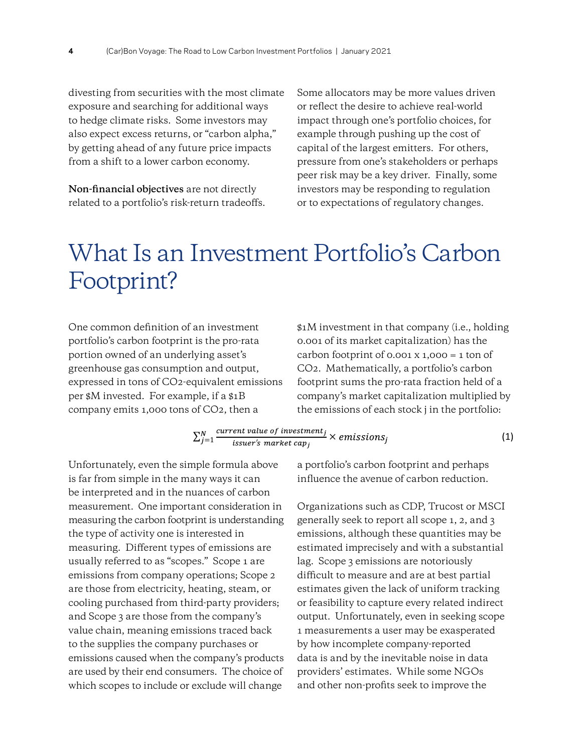divesting from securities with the most climate exposure and searching for additional ways to hedge climate risks. Some investors may also expect excess returns, or "carbon alpha," by getting ahead of any future price impacts from a shift to a lower carbon economy.

**Non-financial objectives** are not directly related to a portfolio's risk-return tradeoffs. Some allocators may be more values driven or reflect the desire to achieve real-world impact through one's portfolio choices, for example through pushing up the cost of capital of the largest emitters. For others, pressure from one's stakeholders or perhaps peer risk may be a key driver. Finally, some investors may be responding to regulation or to expectations of regulatory changes.

# What Is an Investment Portfolio's Carbon Footprint?

One common definition of an investment portfolio's carbon footprint is the pro-rata portion owned of an underlying asset's greenhouse gas consumption and output, expressed in tons of CO2-equivalent emissions per \$M invested. For example, if a \$1B company emits 1,000 tons of CO2, then a

\$1M investment in that company (i.e., holding 0.001 of its market capitalization) has the carbon footprint of  $0.001 \times 1,000 = 1$  ton of CO2. Mathematically, a portfolio's carbon footprint sums the pro-rata fraction held of a company's market capitalization multiplied by the emissions of each stock j in the portfolio:

$$
\sum_{j=1}^{N} \frac{current\ value\ of\ investment}{issuer's\ market\ cap_j} \times emissions_j
$$
 (1)

Unfortunately, even the simple formula above is far from simple in the many ways it can be interpreted and in the nuances of carbon measurement. One important consideration in measuring the carbon footprint is understanding the type of activity one is interested in measuring. Different types of emissions are usually referred to as "scopes." Scope 1 are emissions from company operations; Scope 2 are those from electricity, heating, steam, or cooling purchased from third-party providers; and Scope 3 are those from the company's value chain, meaning emissions traced back to the supplies the company purchases or emissions caused when the company's products are used by their end consumers. The choice of which scopes to include or exclude will change

a portfolio's carbon footprint and perhaps influence the avenue of carbon reduction.

Organizations such as CDP, Trucost or MSCI generally seek to report all scope 1, 2, and 3 emissions, although these quantities may be estimated imprecisely and with a substantial lag. Scope 3 emissions are notoriously difficult to measure and are at best partial estimates given the lack of uniform tracking or feasibility to capture every related indirect output. Unfortunately, even in seeking scope 1 measurements a user may be exasperated by how incomplete company-reported data is and by the inevitable noise in data providers' estimates. While some NGOs and other non-profits seek to improve the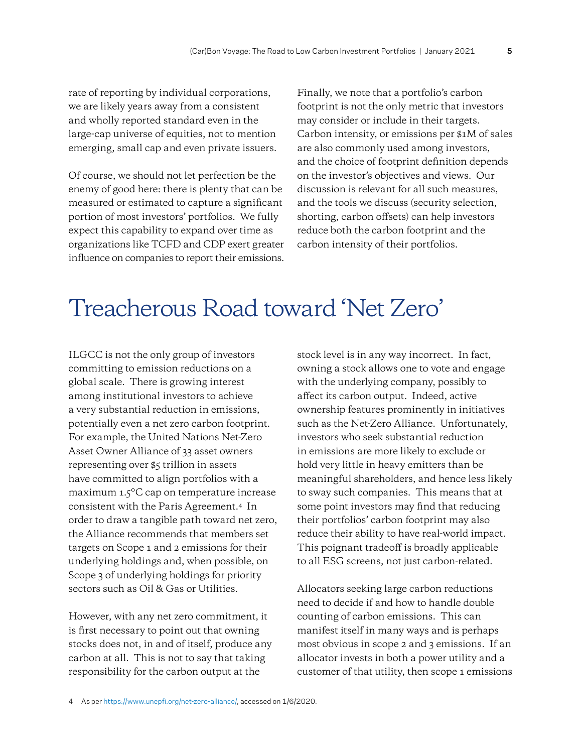rate of reporting by individual corporations, we are likely years away from a consistent and wholly reported standard even in the large-cap universe of equities, not to mention emerging, small cap and even private issuers.

Of course, we should not let perfection be the enemy of good here: there is plenty that can be measured or estimated to capture a significant portion of most investors' portfolios. We fully expect this capability to expand over time as organizations like TCFD and CDP exert greater influence on companies to report their emissions. Finally, we note that a portfolio's carbon footprint is not the only metric that investors may consider or include in their targets. Carbon intensity, or emissions per \$1M of sales are also commonly used among investors, and the choice of footprint definition depends on the investor's objectives and views. Our discussion is relevant for all such measures, and the tools we discuss (security selection, shorting, carbon offsets) can help investors reduce both the carbon footprint and the carbon intensity of their portfolios.

# Treacherous Road toward 'Net Zero'

ILGCC is not the only group of investors committing to emission reductions on a global scale. There is growing interest among institutional investors to achieve a very substantial reduction in emissions, potentially even a net zero carbon footprint. For example, the United Nations Net-Zero Asset Owner Alliance of 33 asset owners representing over \$5 trillion in assets have committed to align portfolios with a maximum 1.5°C cap on temperature increase consistent with the Paris Agreement.4 In order to draw a tangible path toward net zero, the Alliance recommends that members set targets on Scope 1 and 2 emissions for their underlying holdings and, when possible, on Scope 3 of underlying holdings for priority sectors such as Oil & Gas or Utilities.

However, with any net zero commitment, it is first necessary to point out that owning stocks does not, in and of itself, produce any carbon at all. This is not to say that taking responsibility for the carbon output at the

stock level is in any way incorrect. In fact, owning a stock allows one to vote and engage with the underlying company, possibly to affect its carbon output. Indeed, active ownership features prominently in initiatives such as the Net-Zero Alliance. Unfortunately, investors who seek substantial reduction in emissions are more likely to exclude or hold very little in heavy emitters than be meaningful shareholders, and hence less likely to sway such companies. This means that at some point investors may find that reducing their portfolios' carbon footprint may also reduce their ability to have real-world impact. This poignant tradeoff is broadly applicable to all ESG screens, not just carbon-related.

Allocators seeking large carbon reductions need to decide if and how to handle double counting of carbon emissions. This can manifest itself in many ways and is perhaps most obvious in scope 2 and 3 emissions. If an allocator invests in both a power utility and a customer of that utility, then scope 1 emissions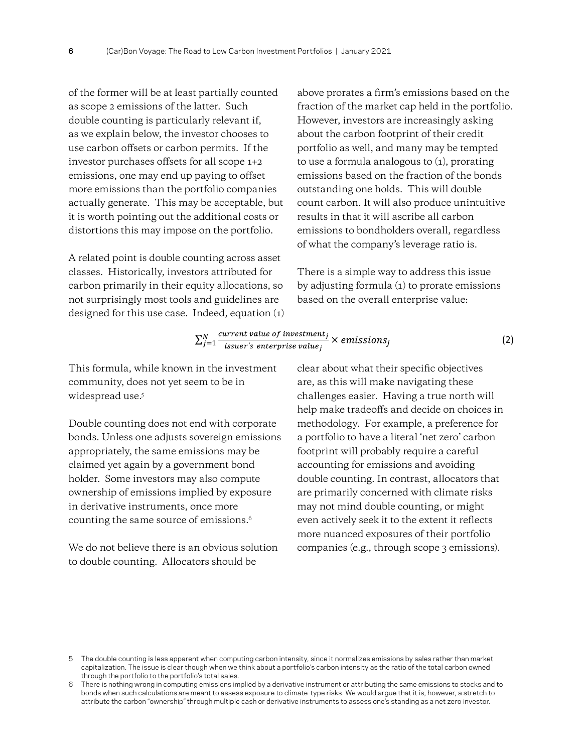of the former will be at least partially counted as scope 2 emissions of the latter. Such double counting is particularly relevant if, as we explain below, the investor chooses to use carbon offsets or carbon permits. If the investor purchases offsets for all scope 1+2 emissions, one may end up paying to offset more emissions than the portfolio companies actually generate. This may be acceptable, but it is worth pointing out the additional costs or distortions this may impose on the portfolio.

A related point is double counting across asset classes. Historically, investors attributed for carbon primarily in their equity allocations, so not surprisingly most tools and guidelines are designed for this use case. Indeed, equation (1) above prorates a firm's emissions based on the fraction of the market cap held in the portfolio. However, investors are increasingly asking about the carbon footprint of their credit portfolio as well, and many may be tempted to use a formula analogous to  $(i)$ , prorating emissions based on the fraction of the bonds outstanding one holds. This will double count carbon. It will also produce unintuitive results in that it will ascribe all carbon emissions to bondholders overall, regardless of what the company's leverage ratio is.

There is a simple way to address this issue by adjusting formula (1) to prorate emissions based on the overall enterprise value:

$$
\sum_{j=1}^{N} \frac{\text{current value of investment}}{\text{issuer's enterprise value}_i} \times \text{emissions}_j \tag{2}
$$

This formula, while known in the investment community, does not yet seem to be in widespread use.5

Double counting does not end with corporate bonds. Unless one adjusts sovereign emissions appropriately, the same emissions may be claimed yet again by a government bond holder. Some investors may also compute ownership of emissions implied by exposure in derivative instruments, once more counting the same source of emissions.6

We do not believe there is an obvious solution to double counting. Allocators should be

clear about what their specific objectives are, as this will make navigating these challenges easier. Having a true north will help make tradeoffs and decide on choices in methodology. For example, a preference for a portfolio to have a literal 'net zero' carbon footprint will probably require a careful accounting for emissions and avoiding double counting. In contrast, allocators that are primarily concerned with climate risks may not mind double counting, or might even actively seek it to the extent it reflects more nuanced exposures of their portfolio companies (e.g., through scope 3 emissions).

<sup>5</sup>  The double counting is less apparent when computing carbon intensity, since it normalizes emissions by sales rather than market capitalization. The issue is clear though when we think about a portfolio's carbon intensity as the ratio of the total carbon owned through the portfolio to the portfolio's total sales.

<sup>6</sup>  There is nothing wrong in computing emissions implied by a derivative instrument or attributing the same emissions to stocks and to bonds when such calculations are meant to assess exposure to climate-type risks. We would argue that it is, however, a stretch to attribute the carbon "ownership" through multiple cash or derivative instruments to assess one's standing as a net zero investor.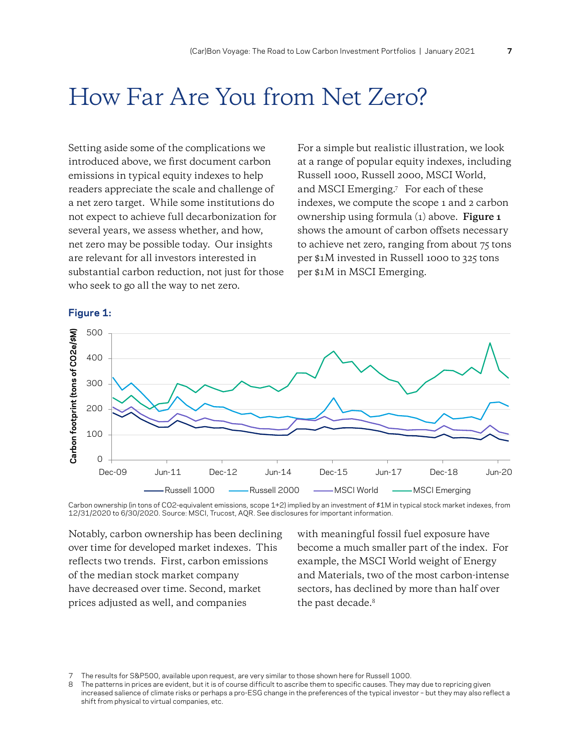# How Far Are You from Net Zero?

Setting aside some of the complications we introduced above, we first document carbon emissions in typical equity indexes to help readers appreciate the scale and challenge of a net zero target. While some institutions do not expect to achieve full decarbonization for several years, we assess whether, and how, net zero may be possible today. Our insights are relevant for all investors interested in substantial carbon reduction, not just for those who seek to go all the way to net zero.

For a simple but realistic illustration, we look at a range of popular equity indexes, including Russell 1000, Russell 2000, MSCI World, and MSCI Emerging.7 For each of these indexes, we compute the scope 1 and 2 carbon ownership using formula (1) above. **Figure 1** shows the amount of carbon offsets necessary to achieve net zero, ranging from about 75 tons per \$1M invested in Russell 1000 to 325 tons per \$1M in MSCI Emerging.



### **Figure 1:**

Carbon ownership (in tons of CO2-equivalent emissions, scope 1+2) implied by an investment of \$1M in typical stock market indexes, from 12/31/2020 to 6/30/2020. Source: MSCI, Trucost, AQR. See disclosures for important information.

Notably, carbon ownership has been declining over time for developed market indexes. This reflects two trends. First, carbon emissions of the median stock market company have decreased over time. Second, market prices adjusted as well, and companies

with meaningful fossil fuel exposure have become a much smaller part of the index. For example, the MSCI World weight of Energy and Materials, two of the most carbon-intense sectors, has declined by more than half over the past decade.<sup>8</sup>

<sup>7</sup>  The results for S&P500, available upon request, are very similar to those shown here for Russell 1000.

<sup>8</sup>  The patterns in prices are evident, but it is of course difficult to ascribe them to specific causes. They may due to repricing given increased salience of climate risks or perhaps a pro-ESG change in the preferences of the typical investor – but they may also reflect a shift from physical to virtual companies, etc.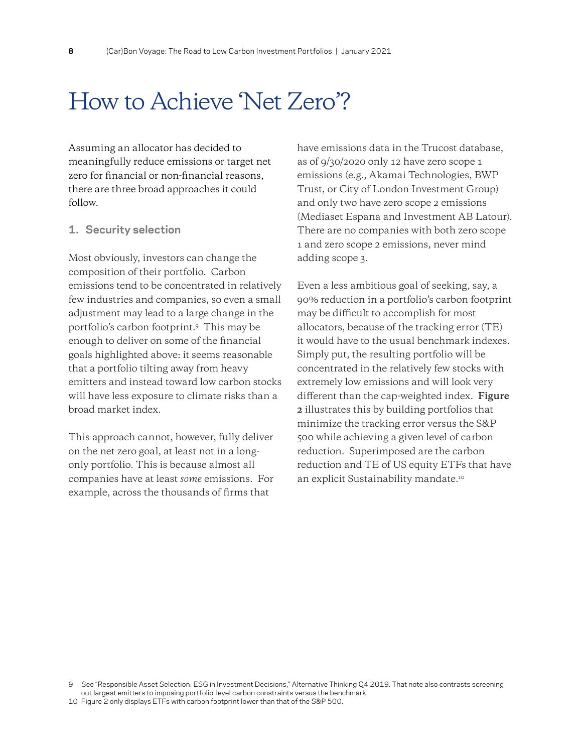# How to Achieve 'Net Zero'?

Assuming an allocator has decided to meaningfully reduce emissions or target net zero for financial or non-financial reasons, there are three broad approaches it could follow.

### **1. Security selection**

Most obviously, investors can change the composition of their portfolio. Carbon emissions tend to be concentrated in relatively few industries and companies, so even a small adjustment may lead to a large change in the portfolio's carbon footprint.9 This may be enough to deliver on some of the financial goals highlighted above: it seems reasonable that a portfolio tilting away from heavy emitters and instead toward low carbon stocks will have less exposure to climate risks than a broad market index.

This approach cannot, however, fully deliver on the net zero goal, at least not in a longonly portfolio. This is because almost all companies have at least *some* emissions. For example, across the thousands of firms that

have emissions data in the Trucost database, as of 9/30/2020 only 12 have zero scope 1 emissions (e.g., Akamai Technologies, BWP Trust, or City of London Investment Group) and only two have zero scope 2 emissions (Mediaset Espana and Investment AB Latour). There are no companies with both zero scope 1 and zero scope 2 emissions, never mind adding scope 3.

Even a less ambitious goal of seeking, say, a 90% reduction in a portfolio's carbon footprint may be difficult to accomplish for most allocators, because of the tracking error (TE) it would have to the usual benchmark indexes. Simply put, the resulting portfolio will be concentrated in the relatively few stocks with extremely low emissions and will look very different than the cap-weighted index. **Figure 2** illustrates this by building portfolios that minimize the tracking error versus the S&P 500 while achieving a given level of carbon reduction. Superimposed are the carbon reduction and TE of US equity ETFs that have an explicit Sustainability mandate.10

10 Figure 2 only displays ETFs with carbon footprint lower than that of the S&P 500.

<sup>9</sup>  See "Responsible Asset Selection: ESG in Investment Decisions," Alternative Thinking Q4 2019. That note also contrasts screening out largest emitters to imposing portfolio-level carbon constraints versus the benchmark.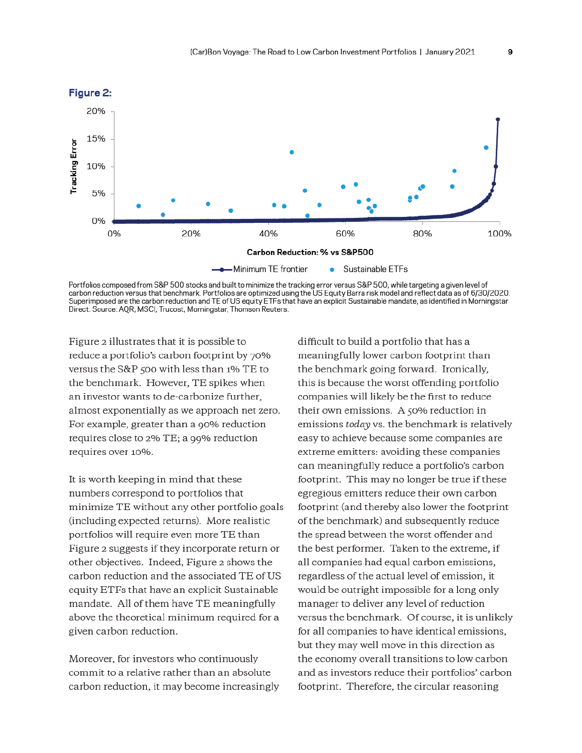

Portfolios composed from S&P 500 stocks and built to minimize the tracking error versus S&P 500, while targeting a given level of carbon reduction versus that benchmark. Portfolios are optimized using the US Equity Barra risk model and reflect data as of 6/30/2020. Superimposed are the carbon reduction and TE of US equity ETFs that have an explicit Sustainable mandate, as identified in Morningstar Direct. Source: AQR, MSCI, Trucost, Morningstar, Thomson Reuters.

Figure 2 illustrates that it is possible to reduce a portfolio's carbon footprint by 70% versus the S&P 500 with less than 1% TE to the benchmark. However, TE spikes when an investor wants to de-carbonize further, almost exponentially as we approach net zero. For example, greater than a 90% reduction requires close to 2% TE; a 99% reduction requires over 10%.

It is worth keeping in mind that these numbers correspond to portfolios that minimize TE without any other portfolio goals (including expected returns). More realistic portfolios will require even more TE than Figure 2 suggests if they incorporate return or other objectives. Indeed, Figure 2 shows the carbon reduction and the associated TE of US equity ETFs that have an explicit Sustainable mandate. All of them have TE meaningfully above the theoretical minimum required for a given carbon reduction.

Moreover, for investors who continuously commit to a relative rather than an absolute carbon reduction, it may become increasingly difficult to build a portfolio that has a meaningfully lower carbon footprint than the benchmark going forward. Ironically, this is because the worst offending portfolio companies will likely be the first to reduce their own emissions. A 50% reduction in emissions today vs. the benchmark is relatively easy to achieve because some companies are extreme emitters: avoiding these companies can meaningfully reduce a portfolio's carbon footprint. This may no longer be true if these egregious emitters reduce their own carbon footprint (and thereby also lower the footprint of the benchmark) and subsequently reduce the spread between the worst offender and the best performer. Taken to the extreme, if all companies had equal carbon emissions, regardless of the actual level of emission, it would be outright impossible for a long only manager to deliver any level of reduction versus the benchmark. Of course, it is unlikely for all companies to have identical emissions, but they may well move in this direction as the economy overall transitions to low carbon and as investors reduce their portfolios' carbon footprint. Therefore, the circular reasoning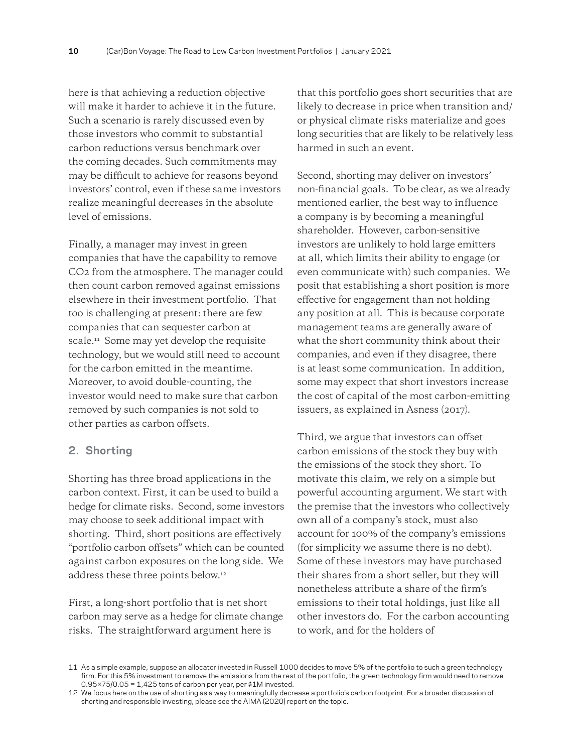here is that achieving a reduction objective will make it harder to achieve it in the future. Such a scenario is rarely discussed even by those investors who commit to substantial carbon reductions versus benchmark over the coming decades. Such commitments may may be difficult to achieve for reasons beyond investors' control, even if these same investors realize meaningful decreases in the absolute level of emissions.

Finally, a manager may invest in green companies that have the capability to remove CO2 from the atmosphere. The manager could then count carbon removed against emissions elsewhere in their investment portfolio. That too is challenging at present: there are few companies that can sequester carbon at scale.<sup>11</sup> Some may yet develop the requisite technology, but we would still need to account for the carbon emitted in the meantime. Moreover, to avoid double-counting, the investor would need to make sure that carbon removed by such companies is not sold to other parties as carbon offsets.

### **2. Shorting**

Shorting has three broad applications in the carbon context. First, it can be used to build a hedge for climate risks. Second, some investors may choose to seek additional impact with shorting. Third, short positions are effectively "portfolio carbon offsets" which can be counted against carbon exposures on the long side. We address these three points below.12

First, a long-short portfolio that is net short carbon may serve as a hedge for climate change risks. The straightforward argument here is

that this portfolio goes short securities that are likely to decrease in price when transition and/ or physical climate risks materialize and goes long securities that are likely to be relatively less harmed in such an event.

Second, shorting may deliver on investors' non-financial goals. To be clear, as we already mentioned earlier, the best way to influence a company is by becoming a meaningful shareholder. However, carbon-sensitive investors are unlikely to hold large emitters at all, which limits their ability to engage (or even communicate with) such companies. We posit that establishing a short position is more effective for engagement than not holding any position at all. This is because corporate management teams are generally aware of what the short community think about their companies, and even if they disagree, there is at least some communication. In addition, some may expect that short investors increase the cost of capital of the most carbon-emitting issuers, as explained in Asness (2017).

Third, we argue that investors can offset carbon emissions of the stock they buy with the emissions of the stock they short. To motivate this claim, we rely on a simple but powerful accounting argument. We start with the premise that the investors who collectively own all of a company's stock, must also account for 100% of the company's emissions (for simplicity we assume there is no debt). Some of these investors may have purchased their shares from a short seller, but they will nonetheless attribute a share of the firm's emissions to their total holdings, just like all other investors do. For the carbon accounting to work, and for the holders of

<sup>11</sup> As a simple example, suppose an allocator invested in Russell 1000 decides to move 5% of the portfolio to such a green technology firm. For this 5% investment to remove the emissions from the rest of the portfolio, the green technology firm would need to remove 0.95×75/0.05 = 1,425 tons of carbon per year, per \$1M invested.

<sup>12</sup> We focus here on the use of shorting as a way to meaningfully decrease a portfolio's carbon footprint. For a broader discussion of shorting and responsible investing, please see the AIMA (2020) report on the topic.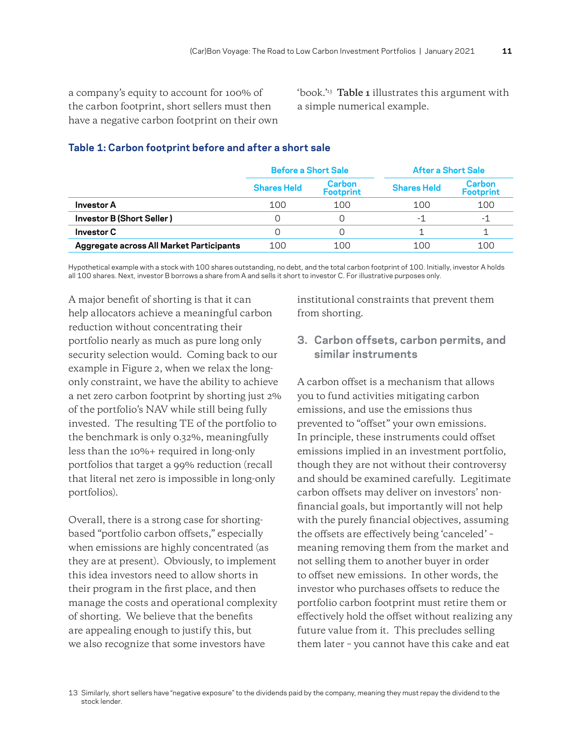a company's equity to account for 100% of the carbon footprint, short sellers must then have a negative carbon footprint on their own 'book.'13 **Table 1** illustrates this argument with a simple numerical example.

|                                          | <b>Before a Short Sale</b> |                            | After a Short Sale |                            |
|------------------------------------------|----------------------------|----------------------------|--------------------|----------------------------|
|                                          | <b>Shares Held</b>         | Carbon<br><b>Footprint</b> | <b>Shares Held</b> | Carbon<br><b>Footprint</b> |
| Investor A                               | 100                        | 100                        | 100                | 100                        |
| Investor B (Short Seller)                |                            |                            | -1                 | -1                         |
| Investor C                               | O                          |                            |                    |                            |
| Aggregate across All Market Participants | 100                        | 100                        | 100                | 100                        |

### **Table 1: Carbon footprint before and after a short sale**

Hypothetical example with a stock with 100 shares outstanding, no debt, and the total carbon footprint of 100. Initially, investor A holds all 100 shares. Next, investor B borrows a share from A and sells it short to investor C. For illustrative purposes only.

A major benefit of shorting is that it can help allocators achieve a meaningful carbon reduction without concentrating their portfolio nearly as much as pure long only security selection would. Coming back to our example in Figure 2, when we relax the longonly constraint, we have the ability to achieve a net zero carbon footprint by shorting just 2% of the portfolio's NAV while still being fully invested. The resulting TE of the portfolio to the benchmark is only 0.32%, meaningfully less than the 10%+ required in long-only portfolios that target a 99% reduction (recall that literal net zero is impossible in long-only portfolios).

Overall, there is a strong case for shortingbased "portfolio carbon offsets," especially when emissions are highly concentrated (as they are at present). Obviously, to implement this idea investors need to allow shorts in their program in the first place, and then manage the costs and operational complexity of shorting. We believe that the benefits are appealing enough to justify this, but we also recognize that some investors have

institutional constraints that prevent them from shorting.

### **3. Carbon offsets, carbon permits, and similar instruments**

A carbon offset is a mechanism that allows you to fund activities mitigating carbon emissions, and use the emissions thus prevented to "offset" your own emissions. In principle, these instruments could offset emissions implied in an investment portfolio, though they are not without their controversy and should be examined carefully. Legitimate carbon offsets may deliver on investors' nonfinancial goals, but importantly will not help with the purely financial objectives, assuming the offsets are effectively being 'canceled' – meaning removing them from the market and not selling them to another buyer in order to offset new emissions. In other words, the investor who purchases offsets to reduce the portfolio carbon footprint must retire them or effectively hold the offset without realizing any future value from it. This precludes selling them later – you cannot have this cake and eat

<sup>13</sup> Similarly, short sellers have "negative exposure" to the dividends paid by the company, meaning they must repay the dividend to the stock lender.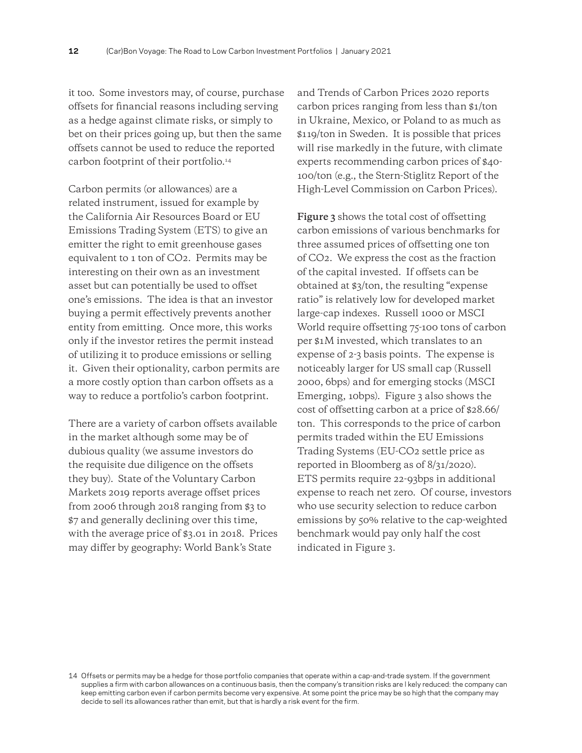it too. Some investors may, of course, purchase offsets for financial reasons including serving as a hedge against climate risks, or simply to bet on their prices going up, but then the same offsets cannot be used to reduce the reported carbon footprint of their portfolio.14

Carbon permits (or allowances) are a related instrument, issued for example by the California Air Resources Board or EU Emissions Trading System (ETS) to give an emitter the right to emit greenhouse gases equivalent to 1 ton of CO2. Permits may be interesting on their own as an investment asset but can potentially be used to offset one's emissions. The idea is that an investor buying a permit effectively prevents another entity from emitting. Once more, this works only if the investor retires the permit instead of utilizing it to produce emissions or selling it. Given their optionality, carbon permits are a more costly option than carbon offsets as a way to reduce a portfolio's carbon footprint.

There are a variety of carbon offsets available in the market although some may be of dubious quality (we assume investors do the requisite due diligence on the offsets they buy). State of the Voluntary Carbon Markets 2019 reports average offset prices from 2006 through 2018 ranging from \$3 to \$7 and generally declining over this time, with the average price of \$3.01 in 2018. Prices may differ by geography: World Bank's State

and Trends of Carbon Prices 2020 reports carbon prices ranging from less than \$1/ton in Ukraine, Mexico, or Poland to as much as \$119/ton in Sweden. It is possible that prices will rise markedly in the future, with climate experts recommending carbon prices of \$40- 100/ton (e.g., the Stern-Stiglitz Report of the High-Level Commission on Carbon Prices).

**Figure 3** shows the total cost of offsetting carbon emissions of various benchmarks for three assumed prices of offsetting one ton of CO2. We express the cost as the fraction of the capital invested. If offsets can be obtained at \$3/ton, the resulting "expense ratio" is relatively low for developed market large-cap indexes. Russell 1000 or MSCI World require offsetting 75-100 tons of carbon per \$1M invested, which translates to an expense of 2-3 basis points. The expense is noticeably larger for US small cap (Russell 2000, 6bps) and for emerging stocks (MSCI Emerging, 10bps). Figure 3 also shows the cost of offsetting carbon at a price of \$28.66/ ton. This corresponds to the price of carbon permits traded within the EU Emissions Trading Systems (EU-CO2 settle price as reported in Bloomberg as of 8/31/2020). ETS permits require 22-93bps in additional expense to reach net zero. Of course, investors who use security selection to reduce carbon emissions by 50% relative to the cap-weighted benchmark would pay only half the cost indicated in Figure 3.

<sup>14</sup> Offsets or permits may be a hedge for those portfolio companies that operate within a cap-and-trade system. If the government supplies a firm with carbon allowances on a continuous basis, then the company's transition risks are l kely reduced: the company can keep emitting carbon even if carbon permits become very expensive. At some point the price may be so high that the company may decide to sell its allowances rather than emit, but that is hardly a risk event for the firm.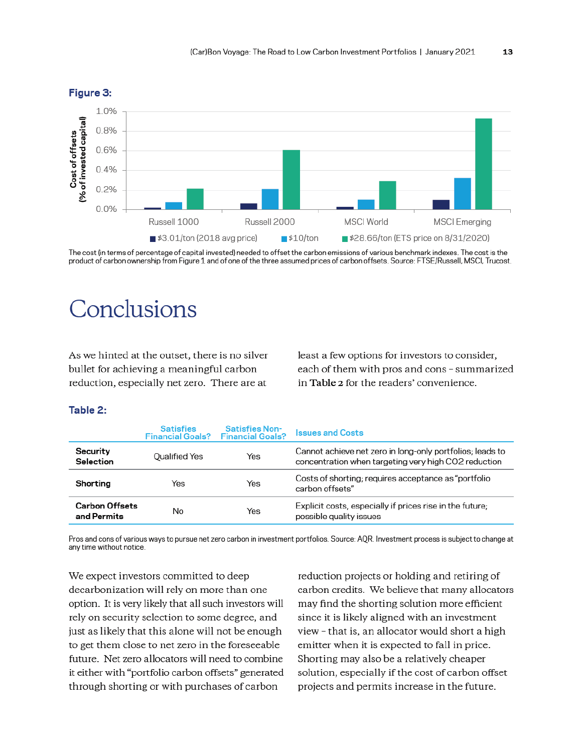

### Figure 3:

The cost (in terms of percentage of capital invested) needed to offset the carbon emissions of various benchmark indexes. The cost is the product of carbon ownership from Figure 1 and of one of the three assumed prices of carbon offsets. Source: FTSE/Russell, MSCI, Trucost.

# Conclusions

As we hinted at the outset, there is no silver bullet for achieving a meaningful carbon reduction, especially net zero. There are at

least a few options for investors to consider, each of them with pros and cons - summarized in Table 2 for the readers' convenience.

### Table 2:

|                                      | <b>Satisfies</b>     | <b>Satisfies Non-</b><br><b>Financial Goals?</b> Financial Goals? | <b>Issues and Costs</b>                                                                                           |
|--------------------------------------|----------------------|-------------------------------------------------------------------|-------------------------------------------------------------------------------------------------------------------|
| Security<br><b>Selection</b>         | <b>Oualified Yes</b> | Yes                                                               | Cannot achieve net zero in long-only portfolios, leads to<br>concentration when targeting very high CO2 reduction |
| Shorting                             | Yes                  | Yes                                                               | Costs of shorting; requires acceptance as "portfolio<br>carbon offsets"                                           |
| <b>Carbon Offsets</b><br>and Permits | No                   | Yes                                                               | Explicit costs, especially if prices rise in the future;<br>possible quality issues                               |

Pros and cons of various ways to pursue net zero carbon in investment portfolios. Source: AQR. Investment process is subject to change at any time without notice.

We expect investors committed to deep decarbonization will rely on more than one option. It is very likely that all such investors will rely on security selection to some degree, and just as likely that this alone will not be enough to get them close to net zero in the foreseeable future. Net zero allocators will need to combine it either with "portfolio carbon offsets" generated through shorting or with purchases of carbon

reduction projects or holding and retiring of carbon credits. We believe that many allocators may find the shorting solution more efficient since it is likely aligned with an investment view - that is, an allocator would short a high emitter when it is expected to fall in price. Shorting may also be a relatively cheaper solution, especially if the cost of carbon offset projects and permits increase in the future.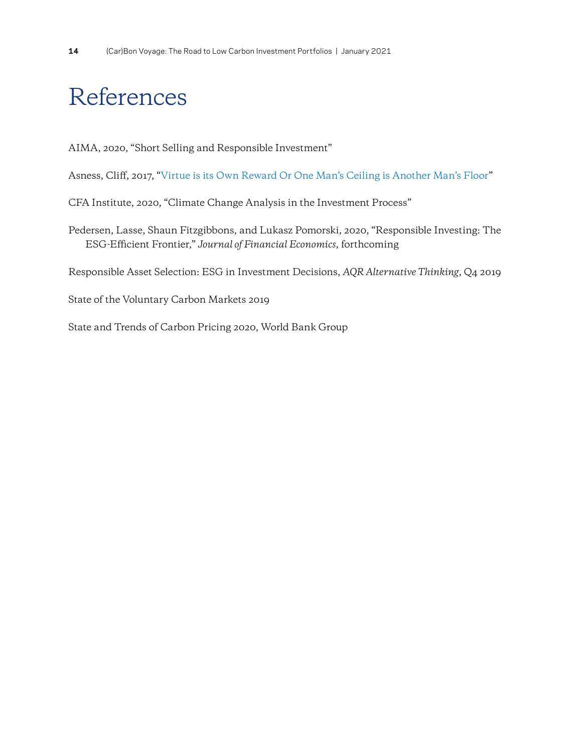# References

AIMA, 2020, "Short Selling and Responsible Investment"

Asness, Cliff, 2017, "Virtue is its Own Reward Or One Man's Ceiling is Another Man's Floor"

CFA Institute, 2020, "Climate Change Analysis in the Investment Process"

Pedersen, Lasse, Shaun Fitzgibbons, and Lukasz Pomorski, 2020, "Responsible Investing: The ESG-Efficient Frontier," *Journal of Financial Economics*, forthcoming

Responsible Asset Selection: ESG in Investment Decisions, *AQR Alternative Thinking*, Q4 2019

State of the Voluntary Carbon Markets 2019

State and Trends of Carbon Pricing 2020, World Bank Group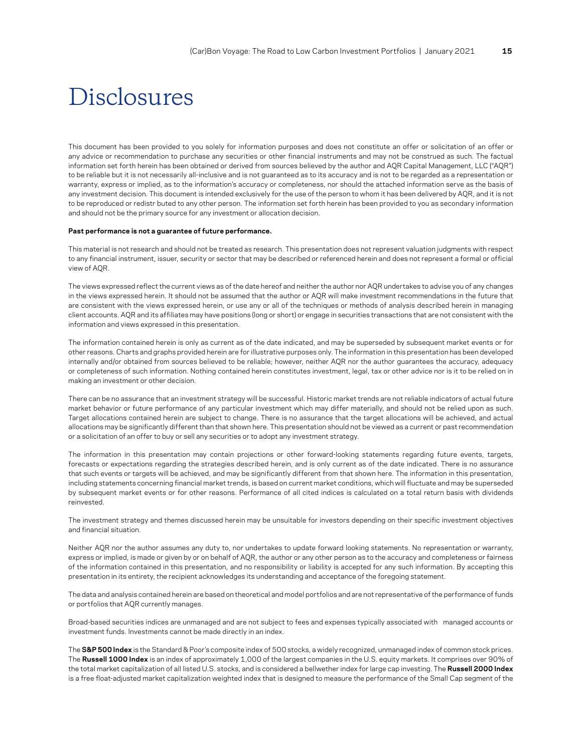# Disclosures

This document has been provided to you solely for information purposes and does not constitute an offer or solicitation of an offer or any advice or recommendation to purchase any securities or other financial instruments and may not be construed as such. The factual information set forth herein has been obtained or derived from sources believed by the author and AQR Capital Management, LLC ("AQR") to be reliable but it is not necessarily all-inclusive and is not guaranteed as to its accuracy and is not to be regarded as a representation or warranty, express or implied, as to the information's accuracy or completeness, nor should the attached information serve as the basis of any investment decision. This document is intended exclusively for the use of the person to whom it has been delivered by AQR, and it is not to be reproduced or redistr buted to any other person. The information set forth herein has been provided to you as secondary information and should not be the primary source for any investment or allocation decision.

### **Past performance is not a guarantee of future performance.**

This material is not research and should not be treated as research. This presentation does not represent valuation judgments with respect to any financial instrument, issuer, security or sector that may be described or referenced herein and does not represent a formal or official view of AQR.

The views expressed reflect the current views as of the date hereof and neither the author nor AQR undertakes to advise you of any changes in the views expressed herein. It should not be assumed that the author or AQR will make investment recommendations in the future that are consistent with the views expressed herein, or use any or all of the techniques or methods of analysis described herein in managing client accounts. AQR and its affiliates may have positions (long or short) or engage in securities transactions that are not consistent with the information and views expressed in this presentation.

The information contained herein is only as current as of the date indicated, and may be superseded by subsequent market events or for other reasons. Charts and graphs provided herein are for illustrative purposes only. The information in this presentation has been developed internally and/or obtained from sources believed to be reliable; however, neither AQR nor the author guarantees the accuracy, adequacy or completeness of such information. Nothing contained herein constitutes investment, legal, tax or other advice nor is it to be relied on in making an investment or other decision.

There can be no assurance that an investment strategy will be successful. Historic market trends are not reliable indicators of actual future market behavior or future performance of any particular investment which may differ materially, and should not be relied upon as such. Target allocations contained herein are subject to change. There is no assurance that the target allocations will be achieved, and actual allocations may be significantly different than that shown here. This presentation should not be viewed as a current or past recommendation or a solicitation of an offer to buy or sell any securities or to adopt any investment strategy.

The information in this presentation may contain projections or other forward-looking statements regarding future events, targets, forecasts or expectations regarding the strategies described herein, and is only current as of the date indicated. There is no assurance that such events or targets will be achieved, and may be significantly different from that shown here. The information in this presentation, including statements concerning financial market trends, is based on current market conditions, which will fluctuate and may be superseded by subsequent market events or for other reasons. Performance of all cited indices is calculated on a total return basis with dividends reinvested.

The investment strategy and themes discussed herein may be unsuitable for investors depending on their specific investment objectives and financial situation.

Neither AQR nor the author assumes any duty to, nor undertakes to update forward looking statements. No representation or warranty, express or implied, is made or given by or on behalf of AQR, the author or any other person as to the accuracy and completeness or fairness of the information contained in this presentation, and no responsibility or liability is accepted for any such information. By accepting this presentation in its entirety, the recipient acknowledges its understanding and acceptance of the foregoing statement.

The data and analysis contained herein are based on theoretical and model portfolios and are not representative of the performance of funds or portfolios that AQR currently manages.

Broad-based securities indices are unmanaged and are not subject to fees and expenses typically associated with managed accounts or investment funds. Investments cannot be made directly in an index.

The **S&P 500 Index** is the Standard & Poor's composite index of 500 stocks, a widely recognized, unmanaged index of common stock prices. The **Russell 1000 Index** is an index of approximately 1,000 of the largest companies in the U.S. equity markets. It comprises over 90% of the total market capitalization of all listed U.S. stocks, and is considered a bellwether index for large cap investing. The **Russell 2000 Index** is a free float-adjusted market capitalization weighted index that is designed to measure the performance of the Small Cap segment of the